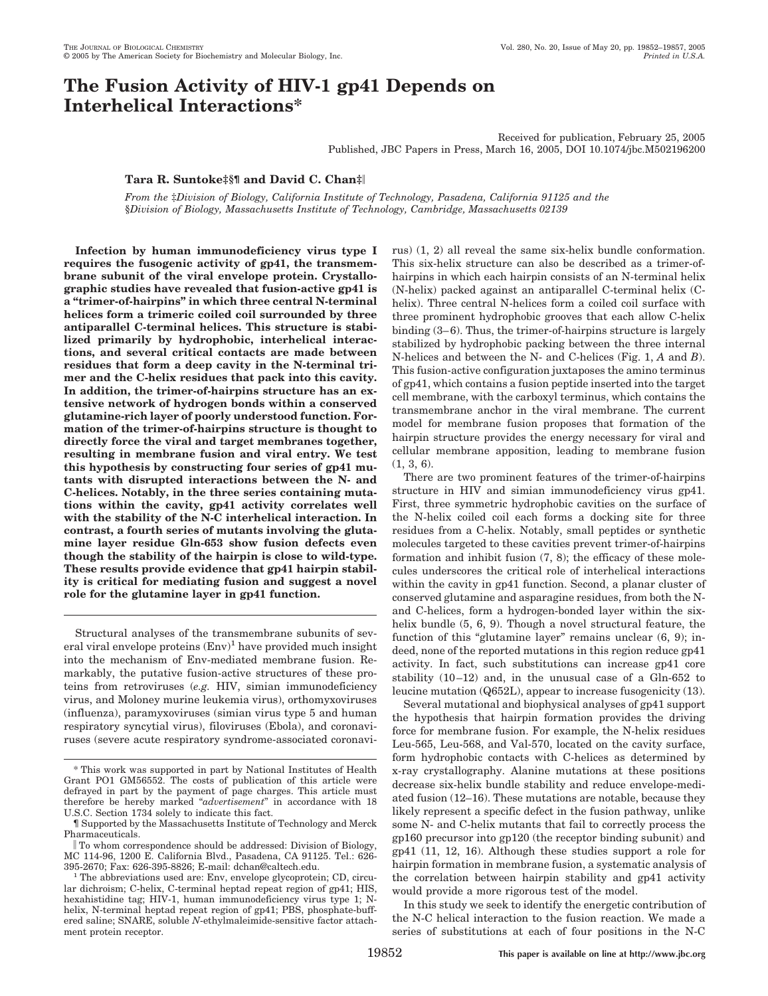# **The Fusion Activity of HIV-1 gp41 Depends on Interhelical Interactions\***

Received for publication, February 25, 2005 Published, JBC Papers in Press, March 16, 2005, DOI 10.1074/jbc.M502196200

## **Tara R. Suntoke‡§¶ and David C. Chan‡**

*From the* ‡*Division of Biology, California Institute of Technology, Pasadena, California 91125 and the* §*Division of Biology, Massachusetts Institute of Technology, Cambridge, Massachusetts 02139*

**Infection by human immunodeficiency virus type I requires the fusogenic activity of gp41, the transmembrane subunit of the viral envelope protein. Crystallographic studies have revealed that fusion-active gp41 is a "trimer-of-hairpins" in which three central N-terminal helices form a trimeric coiled coil surrounded by three antiparallel C-terminal helices. This structure is stabilized primarily by hydrophobic, interhelical interactions, and several critical contacts are made between residues that form a deep cavity in the N-terminal trimer and the C-helix residues that pack into this cavity. In addition, the trimer-of-hairpins structure has an extensive network of hydrogen bonds within a conserved glutamine-rich layer of poorly understood function. Formation of the trimer-of-hairpins structure is thought to directly force the viral and target membranes together, resulting in membrane fusion and viral entry. We test this hypothesis by constructing four series of gp41 mutants with disrupted interactions between the N- and C-helices. Notably, in the three series containing mutations within the cavity, gp41 activity correlates well with the stability of the N-C interhelical interaction. In contrast, a fourth series of mutants involving the glutamine layer residue Gln-653 show fusion defects even though the stability of the hairpin is close to wild-type. These results provide evidence that gp41 hairpin stability is critical for mediating fusion and suggest a novel role for the glutamine layer in gp41 function.**

Structural analyses of the transmembrane subunits of several viral envelope proteins  $(Env)^1$  have provided much insight into the mechanism of Env-mediated membrane fusion. Remarkably, the putative fusion-active structures of these proteins from retroviruses (*e.g.* HIV, simian immunodeficiency virus, and Moloney murine leukemia virus), orthomyxoviruses (influenza), paramyxoviruses (simian virus type 5 and human respiratory syncytial virus), filoviruses (Ebola), and coronaviruses (severe acute respiratory syndrome-associated coronavirus) (1, 2) all reveal the same six-helix bundle conformation. This six-helix structure can also be described as a trimer-ofhairpins in which each hairpin consists of an N-terminal helix (N-helix) packed against an antiparallel C-terminal helix (Chelix). Three central N-helices form a coiled coil surface with three prominent hydrophobic grooves that each allow C-helix binding  $(3-6)$ . Thus, the trimer-of-hairpins structure is largely stabilized by hydrophobic packing between the three internal N-helices and between the N- and C-helices (Fig. 1, *A* and *B*). This fusion-active configuration juxtaposes the amino terminus of gp41, which contains a fusion peptide inserted into the target cell membrane, with the carboxyl terminus, which contains the transmembrane anchor in the viral membrane. The current model for membrane fusion proposes that formation of the hairpin structure provides the energy necessary for viral and cellular membrane apposition, leading to membrane fusion (1, 3, 6).

There are two prominent features of the trimer-of-hairpins structure in HIV and simian immunodeficiency virus gp41. First, three symmetric hydrophobic cavities on the surface of the N-helix coiled coil each forms a docking site for three residues from a C-helix. Notably, small peptides or synthetic molecules targeted to these cavities prevent trimer-of-hairpins formation and inhibit fusion (7, 8); the efficacy of these molecules underscores the critical role of interhelical interactions within the cavity in gp41 function. Second, a planar cluster of conserved glutamine and asparagine residues, from both the Nand C-helices, form a hydrogen-bonded layer within the sixhelix bundle (5, 6, 9). Though a novel structural feature, the function of this "glutamine layer" remains unclear (6, 9); indeed, none of the reported mutations in this region reduce gp41 activity. In fact, such substitutions can increase gp41 core stability  $(10-12)$  and, in the unusual case of a Gln-652 to leucine mutation (Q652L), appear to increase fusogenicity (13).

Several mutational and biophysical analyses of gp41 support the hypothesis that hairpin formation provides the driving force for membrane fusion. For example, the N-helix residues Leu-565, Leu-568, and Val-570, located on the cavity surface, form hydrophobic contacts with C-helices as determined by x-ray crystallography. Alanine mutations at these positions decrease six-helix bundle stability and reduce envelope-mediated fusion (12–16). These mutations are notable, because they likely represent a specific defect in the fusion pathway, unlike some N- and C-helix mutants that fail to correctly process the gp160 precursor into gp120 (the receptor binding subunit) and gp41 (11, 12, 16). Although these studies support a role for hairpin formation in membrane fusion, a systematic analysis of the correlation between hairpin stability and gp41 activity would provide a more rigorous test of the model.

In this study we seek to identify the energetic contribution of the N-C helical interaction to the fusion reaction. We made a series of substitutions at each of four positions in the N-C

<sup>\*</sup> This work was supported in part by National Institutes of Health Grant PO1 GM56552. The costs of publication of this article were defrayed in part by the payment of page charges. This article must therefore be hereby marked "*advertisement*" in accordance with 18 U.S.C. Section 1734 solely to indicate this fact.

<sup>¶</sup> Supported by the Massachusetts Institute of Technology and Merck Pharmaceuticals.

To whom correspondence should be addressed: Division of Biology, MC 114-96, 1200 E. California Blvd., Pasadena, CA 91125. Tel.: 626-

The abbreviations used are: Env, envelope glycoprotein; CD, circular dichroism; C-helix, C-terminal heptad repeat region of gp41; HIS, hexahistidine tag; HIV-1, human immunodeficiency virus type 1; Nhelix, N-terminal heptad repeat region of gp41; PBS, phosphate-buffered saline; SNARE, soluble *N*-ethylmaleimide-sensitive factor attachment protein receptor.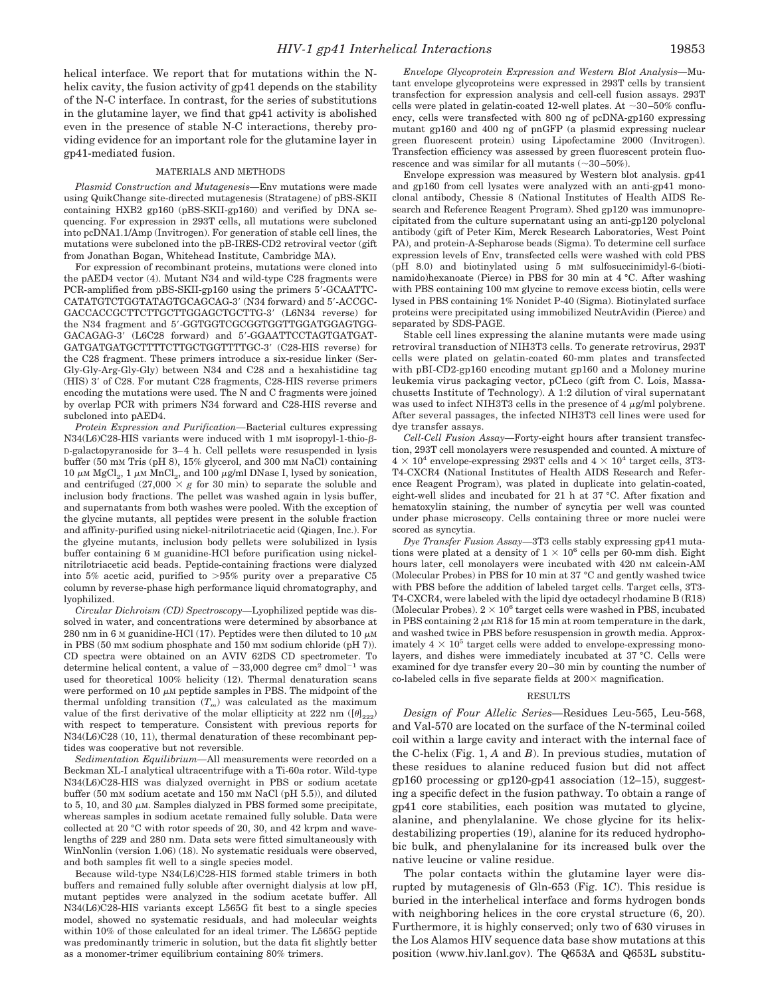helical interface. We report that for mutations within the Nhelix cavity, the fusion activity of gp41 depends on the stability of the N-C interface. In contrast, for the series of substitutions in the glutamine layer, we find that gp41 activity is abolished even in the presence of stable N-C interactions, thereby providing evidence for an important role for the glutamine layer in gp41-mediated fusion.

### MATERIALS AND METHODS

*Plasmid Construction and Mutagenesis—*Env mutations were made using QuikChange site-directed mutagenesis (Stratagene) of pBS-SKII containing HXB2 gp160 (pBS-SKII-gp160) and verified by DNA sequencing. For expression in 293T cells, all mutations were subcloned into pcDNA1.1/Amp (Invitrogen). For generation of stable cell lines, the mutations were subcloned into the pB-IRES-CD2 retroviral vector (gift from Jonathan Bogan, Whitehead Institute, Cambridge MA).

For expression of recombinant proteins, mutations were cloned into the pAED4 vector (4). Mutant N34 and wild-type C28 fragments were PCR-amplified from pBS-SKII-gp160 using the primers 5-GCAATTC-CATATGTCTGGTATAGTGCAGCAG-3 (N34 forward) and 5-ACCGC-GACCACCGCTTCTTGCTTGGAGCTGCTTG-3 (L6N34 reverse) for the N34 fragment and 5-GGTGGTCGCGGTGGTTGGATGGAGTGG-GACAGAG-3' (L6C28 forward) and 5'-GGAATTCCTAGTGATGAT-GATGATGATGCTTTTCTTGCTGGTTTTGC-3 (C28-HIS reverse) for the C28 fragment. These primers introduce a six-residue linker (Ser-Gly-Gly-Arg-Gly-Gly) between N34 and C28 and a hexahistidine tag (HIS) 3' of C28. For mutant C28 fragments, C28-HIS reverse primers encoding the mutations were used. The N and C fragments were joined by overlap PCR with primers N34 forward and C28-HIS reverse and subcloned into pAED4.

*Protein Expression and Purification—*Bacterial cultures expressing  $N34(L6)C28-HIS$  variants were induced with 1 mM isopropyl-1-thio- $\beta$ -D-galactopyranoside for 3– 4 h. Cell pellets were resuspended in lysis buffer (50 mM Tris (pH 8), 15% glycerol, and 300 mM NaCl) containing 10  $\mu$ M MgCl<sub>2</sub>, 1  $\mu$ M MnCl<sub>2</sub>, and 100  $\mu$ g/ml DNase I, lysed by sonication, and centrifuged  $(27,000 \times g$  for 30 min) to separate the soluble and inclusion body fractions. The pellet was washed again in lysis buffer, and supernatants from both washes were pooled. With the exception of the glycine mutants, all peptides were present in the soluble fraction and affinity-purified using nickel-nitrilotriacetic acid (Qiagen, Inc.). For the glycine mutants, inclusion body pellets were solubilized in lysis buffer containing 6 M guanidine-HCl before purification using nickelnitrilotriacetic acid beads. Peptide-containing fractions were dialyzed into 5% acetic acid, purified to 95% purity over a preparative C5 column by reverse-phase high performance liquid chromatography, and lyophilized.

*Circular Dichroism (CD) Spectroscopy—*Lyophilized peptide was dissolved in water, and concentrations were determined by absorbance at 280 nm in 6 M guanidine-HCl (17). Peptides were then diluted to 10  $\mu$ M in PBS (50 mM sodium phosphate and 150 mM sodium chloride (pH 7)). CD spectra were obtained on an AVIV 62DS CD spectrometer. To determine helical content, a value of  $-33,000$  degree cm<sup>2</sup> dmol<sup>-1</sup> was used for theoretical 100% helicity (12). Thermal denaturation scans were performed on 10  $\mu$ M peptide samples in PBS. The midpoint of the thermal unfolding transition  $(T_m)$  was calculated as the maximum value of the first derivative of the molar ellipticity at 222 nm ( $[\theta]_{222}$ ) with respect to temperature. Consistent with previous reports for N34(L6)C28 (10, 11), thermal denaturation of these recombinant peptides was cooperative but not reversible.

*Sedimentation Equilibrium—*All measurements were recorded on a Beckman XL-I analytical ultracentrifuge with a Ti-60a rotor. Wild-type N34(L6)C28-HIS was dialyzed overnight in PBS or sodium acetate buffer (50 mM sodium acetate and 150 mM NaCl (pH 5.5)), and diluted to 5, 10, and 30  $\mu$ M. Samples dialyzed in PBS formed some precipitate, whereas samples in sodium acetate remained fully soluble. Data were collected at 20 °C with rotor speeds of 20, 30, and 42 krpm and wavelengths of 229 and 280 nm. Data sets were fitted simultaneously with WinNonlin (version 1.06) (18). No systematic residuals were observed. and both samples fit well to a single species model.

Because wild-type N34(L6)C28-HIS formed stable trimers in both buffers and remained fully soluble after overnight dialysis at low pH, mutant peptides were analyzed in the sodium acetate buffer. All N34(L6)C28-HIS variants except L565G fit best to a single species model, showed no systematic residuals, and had molecular weights within 10% of those calculated for an ideal trimer. The L565G peptide was predominantly trimeric in solution, but the data fit slightly better as a monomer-trimer equilibrium containing 80% trimers.

*Envelope Glycoprotein Expression and Western Blot Analysis—*Mutant envelope glycoproteins were expressed in 293T cells by transient transfection for expression analysis and cell-cell fusion assays. 293T cells were plated in gelatin-coated 12-well plates. At  $\sim$ 30-50% confluency, cells were transfected with 800 ng of pcDNA-gp160 expressing mutant gp160 and 400 ng of pnGFP (a plasmid expressing nuclear green fluorescent protein) using Lipofectamine 2000 (Invitrogen). Transfection efficiency was assessed by green fluorescent protein fluorescence and was similar for all mutants  $(\sim]30-50\%)$ .

Envelope expression was measured by Western blot analysis. gp41 and gp160 from cell lysates were analyzed with an anti-gp41 monoclonal antibody, Chessie 8 (National Institutes of Health AIDS Research and Reference Reagent Program). Shed gp120 was immunoprecipitated from the culture supernatant using an anti-gp120 polyclonal antibody (gift of Peter Kim, Merck Research Laboratories, West Point PA), and protein-A-Sepharose beads (Sigma). To determine cell surface expression levels of Env, transfected cells were washed with cold PBS (pH 8.0) and biotinylated using 5 mM sulfosuccinimidyl-6-(biotinamido)hexanoate (Pierce) in PBS for 30 min at 4 °C. After washing with PBS containing 100 mM glycine to remove excess biotin, cells were lysed in PBS containing 1% Nonidet P-40 (Sigma). Biotinylated surface proteins were precipitated using immobilized NeutrAvidin (Pierce) and separated by SDS-PAGE.

Stable cell lines expressing the alanine mutants were made using retroviral transduction of NIH3T3 cells. To generate retrovirus, 293T cells were plated on gelatin-coated 60-mm plates and transfected with pBI-CD2-gp160 encoding mutant gp160 and a Moloney murine leukemia virus packaging vector, pCLeco (gift from C. Lois, Massachusetts Institute of Technology). A 1:2 dilution of viral supernatant was used to infect NIH3T3 cells in the presence of  $4 \mu g/ml$  polybrene. After several passages, the infected NIH3T3 cell lines were used for dye transfer assays.

*Cell-Cell Fusion Assay—*Forty-eight hours after transient transfection, 293T cell monolayers were resuspended and counted. A mixture of  $4 \times 10^4$  envelope-expressing 293T cells and  $4 \times 10^4$  target cells, 3T3-T4-CXCR4 **(**National Institutes of Health AIDS Research and Reference Reagent Program), was plated in duplicate into gelatin-coated, eight-well slides and incubated for 21 h at 37 °C. After fixation and hematoxylin staining, the number of syncytia per well was counted under phase microscopy. Cells containing three or more nuclei were scored as syncytia.

*Dye Transfer Fusion Assay—*3T3 cells stably expressing gp41 mutations were plated at a density of  $1 \times 10^6$  cells per 60-mm dish. Eight hours later, cell monolayers were incubated with 420 nm calcein-AM (Molecular Probes) in PBS for 10 min at 37 °C and gently washed twice with PBS before the addition of labeled target cells. Target cells, 3T3- T4-CXCR4, were labeled with the lipid dye octadecyl rhodamine B (R18) (Molecular Probes).  $2 \times 10^6$  target cells were washed in PBS, incubated in PBS containing  $2 \mu M$  R18 for 15 min at room temperature in the dark, and washed twice in PBS before resuspension in growth media. Approximately  $4 \times 10^5$  target cells were added to envelope-expressing monolayers, and dishes were immediately incubated at 37 °C. Cells were examined for dye transfer every 20 –30 min by counting the number of co-labeled cells in five separate fields at  $200\times$  magnification.

#### RESULTS

*Design of Four Allelic Series—*Residues Leu-565, Leu-568, and Val-570 are located on the surface of the N-terminal coiled coil within a large cavity and interact with the internal face of the C-helix (Fig. 1, *A* and *B*). In previous studies, mutation of these residues to alanine reduced fusion but did not affect gp160 processing or gp120-gp41 association (12–15), suggesting a specific defect in the fusion pathway. To obtain a range of gp41 core stabilities, each position was mutated to glycine, alanine, and phenylalanine. We chose glycine for its helixdestabilizing properties (19), alanine for its reduced hydrophobic bulk, and phenylalanine for its increased bulk over the native leucine or valine residue.

The polar contacts within the glutamine layer were disrupted by mutagenesis of Gln-653 (Fig. 1*C*). This residue is buried in the interhelical interface and forms hydrogen bonds with neighboring helices in the core crystal structure  $(6, 20)$ . Furthermore, it is highly conserved; only two of 630 viruses in the Los Alamos HIV sequence data base show mutations at this position (www.hiv.lanl.gov). The Q653A and Q653L substitu-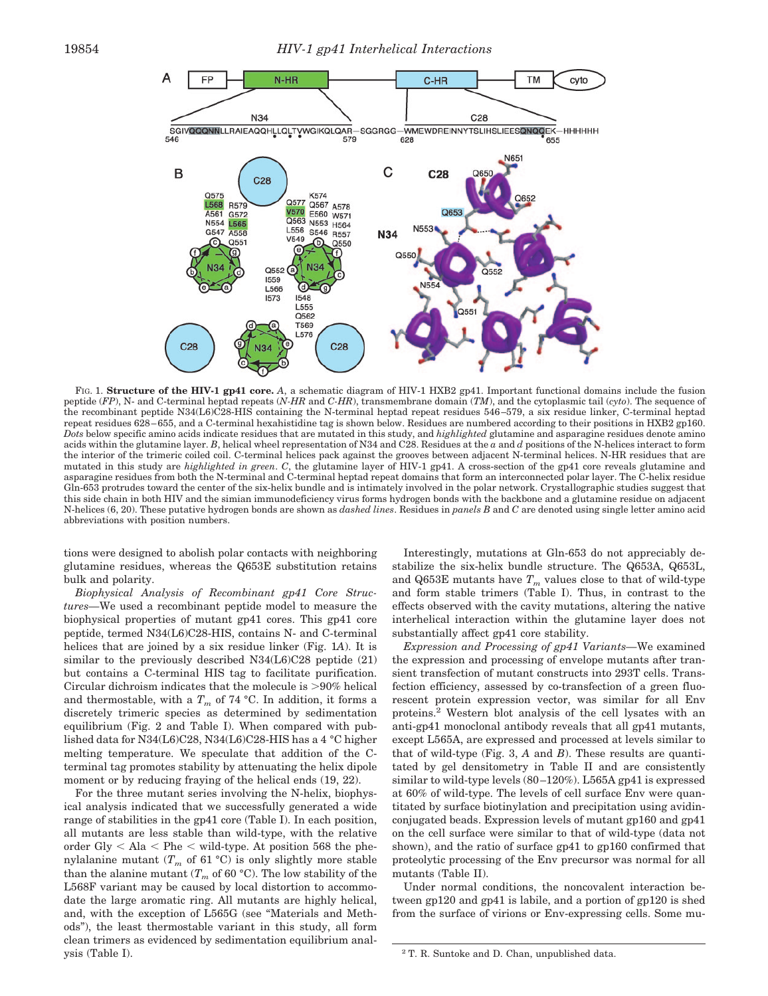

FIG. 1. **Structure of the HIV-1 gp41 core.** A, a schematic diagram of HIV-1 HXB2 gp41. Important functional domains include the fusion peptide (*FP*), N- and C-terminal heptad repeats (*N-HR* and *C-HR*), transmembrane domain (*TM*), and the cytoplasmic tail (*cyto*). The sequence of the recombinant peptide N34(L6)C28-HIS containing the N-terminal heptad repeat residues 546 –579, a six residue linker, C-terminal heptad repeat residues 628 – 655, and a C-terminal hexahistidine tag is shown below. Residues are numbered according to their positions in HXB2 gp160. *Dots* below specific amino acids indicate residues that are mutated in this study, and *highlighted* glutamine and asparagine residues denote amino acids within the glutamine layer. *B*, helical wheel representation of N34 and C28. Residues at the *a* and *d* positions of the N-helices interact to form the interior of the trimeric coiled coil. C-terminal helices pack against the grooves between adjacent N-terminal helices. N-HR residues that are mutated in this study are *highlighted in green*. *C*, the glutamine layer of HIV-1 gp41. A cross-section of the gp41 core reveals glutamine and asparagine residues from both the N-terminal and C-terminal heptad repeat domains that form an interconnected polar layer. The C-helix residue Gln-653 protrudes toward the center of the six-helix bundle and is intimately involved in the polar network. Crystallographic studies suggest that this side chain in both HIV and the simian immunodeficiency virus forms hydrogen bonds with the backbone and a glutamine residue on adjacent N-helices (6, 20). These putative hydrogen bonds are shown as *dashed lines*. Residues in *panels B* and *C* are denoted using single letter amino acid abbreviations with position numbers.

tions were designed to abolish polar contacts with neighboring glutamine residues, whereas the Q653E substitution retains bulk and polarity.

*Biophysical Analysis of Recombinant gp41 Core Structures—*We used a recombinant peptide model to measure the biophysical properties of mutant gp41 cores. This gp41 core peptide, termed N34(L6)C28-HIS, contains N- and C-terminal helices that are joined by a six residue linker (Fig. 1*A*). It is similar to the previously described N34(L6)C28 peptide (21) but contains a C-terminal HIS tag to facilitate purification. Circular dichroism indicates that the molecule is  $>90\%$  helical and thermostable, with a  $T_m$  of 74 °C. In addition, it forms a discretely trimeric species as determined by sedimentation equilibrium (Fig. 2 and Table I). When compared with published data for N34(L6)C28, N34(L6)C28-HIS has a 4 °C higher melting temperature. We speculate that addition of the Cterminal tag promotes stability by attenuating the helix dipole moment or by reducing fraying of the helical ends (19, 22).

For the three mutant series involving the N-helix, biophysical analysis indicated that we successfully generated a wide range of stabilities in the gp41 core (Table I). In each position, all mutants are less stable than wild-type, with the relative order Gly  $\lt$  Ala  $\lt$  Phe  $\lt$  wild-type. At position 568 the phenylalanine mutant  $(T_m$  of 61 °C) is only slightly more stable than the alanine mutant  $(T_m$  of 60 °C). The low stability of the L568F variant may be caused by local distortion to accommodate the large aromatic ring. All mutants are highly helical, and, with the exception of L565G (see "Materials and Methods"), the least thermostable variant in this study, all form clean trimers as evidenced by sedimentation equilibrium analysis (Table I).

Interestingly, mutations at Gln-653 do not appreciably destabilize the six-helix bundle structure. The Q653A, Q653L, and Q653E mutants have  $T_m$  values close to that of wild-type and form stable trimers (Table I). Thus, in contrast to the effects observed with the cavity mutations, altering the native interhelical interaction within the glutamine layer does not substantially affect gp41 core stability.

*Expression and Processing of gp41 Variants—*We examined the expression and processing of envelope mutants after transient transfection of mutant constructs into 293T cells. Transfection efficiency, assessed by co-transfection of a green fluorescent protein expression vector, was similar for all Env proteins.2 Western blot analysis of the cell lysates with an anti-gp41 monoclonal antibody reveals that all gp41 mutants, except L565A, are expressed and processed at levels similar to that of wild-type (Fig. 3, *A* and *B*). These results are quantitated by gel densitometry in Table II and are consistently similar to wild-type levels (80-120%). L565A gp41 is expressed at 60% of wild-type. The levels of cell surface Env were quantitated by surface biotinylation and precipitation using avidinconjugated beads. Expression levels of mutant gp160 and gp41 on the cell surface were similar to that of wild-type (data not shown), and the ratio of surface gp41 to gp160 confirmed that proteolytic processing of the Env precursor was normal for all mutants (Table II).

Under normal conditions, the noncovalent interaction between gp120 and gp41 is labile, and a portion of gp120 is shed from the surface of virions or Env-expressing cells. Some mu-

<sup>&</sup>lt;sup>2</sup> T. R. Suntoke and D. Chan, unpublished data.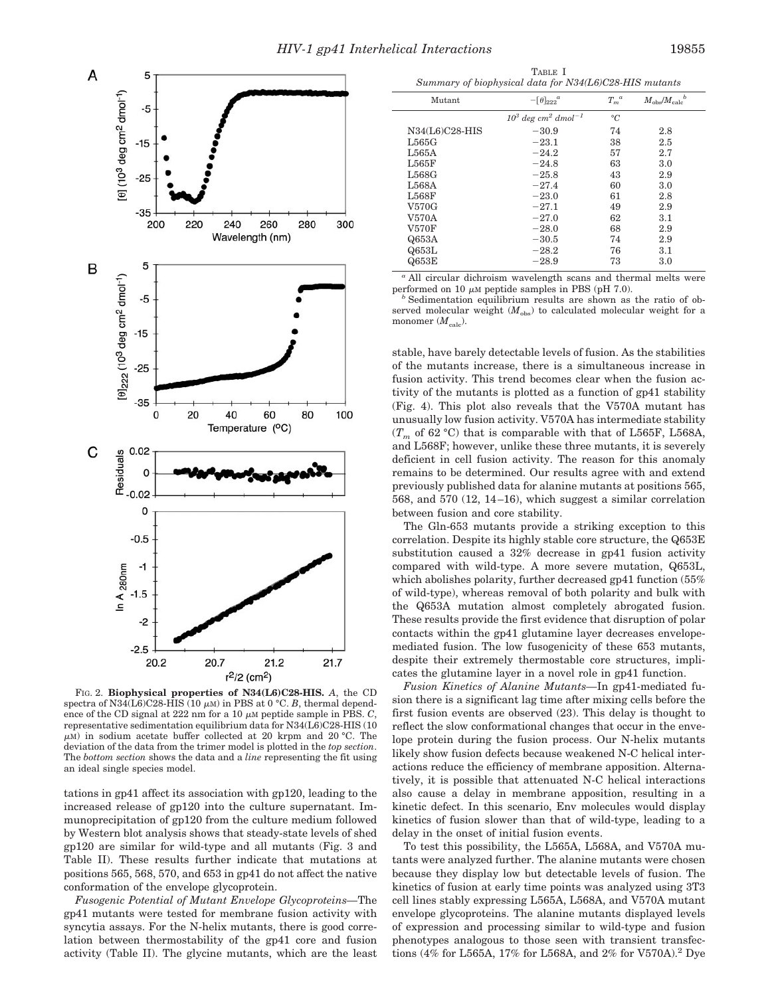

FIG. 2. **Biophysical properties of N34(L6)C28-HIS.** *A*, the CD spectra of N34(L6)C28-HIS (10  $\mu$ m) in PBS at 0 °C. *B*, thermal dependence of the CD signal at 222 nm for a 10  $\mu$ M peptide sample in PBS. *C*, representative sedimentation equilibrium data for N34(L6)C28-HIS (10  $\mu$ M) in sodium acetate buffer collected at 20 krpm and 20 °C. The deviation of the data from the trimer model is plotted in the *top section*. The *bottom section* shows the data and a *line* representing the fit using an ideal single species model.

tations in gp41 affect its association with gp120, leading to the increased release of gp120 into the culture supernatant. Immunoprecipitation of gp120 from the culture medium followed by Western blot analysis shows that steady-state levels of shed gp120 are similar for wild-type and all mutants (Fig. 3 and Table II). These results further indicate that mutations at positions 565, 568, 570, and 653 in gp41 do not affect the native conformation of the envelope glycoprotein.

*Fusogenic Potential of Mutant Envelope Glycoproteins—*The gp41 mutants were tested for membrane fusion activity with syncytia assays. For the N-helix mutants, there is good correlation between thermostability of the gp41 core and fusion activity (Table II). The glycine mutants, which are the least

TABLE I *Summary of biophysical data for N34(L6)C28-HIS mutants*

| Mutant           | $-[\theta]_{222}^a$                           | $T_m^{\ a}$     |     |  |
|------------------|-----------------------------------------------|-----------------|-----|--|
|                  | $10^3$ deg cm <sup>2</sup> dmol <sup>-1</sup> | $\rm ^{\circ}C$ |     |  |
| $N34(L6)C28-HIS$ | $-30.9$                                       | 74              | 2.8 |  |
| L565G            | $-23.1$                                       | 38              | 2.5 |  |
| L565A            | $-24.2$                                       | 57              | 2.7 |  |
| L565F            | $-24.8$                                       | 63              | 3.0 |  |
| L568G            | $-25.8$                                       | 43              | 2.9 |  |
| L568A            | $-27.4$                                       | 60              | 3.0 |  |
| L568F            | $-23.0$                                       | 61              | 2.8 |  |
| V570G            | $-27.1$                                       | 49              | 2.9 |  |
| V570A            | $-27.0$                                       | 62              | 3.1 |  |
| <b>V570F</b>     | $-28.0$                                       | 68              | 2.9 |  |
| Q653A            | $-30.5$                                       | 74              | 2.9 |  |
| Q653L            | $-28.2$                                       | 76              | 3.1 |  |
| Q653E            | $-28.9$                                       | 73              | 3.0 |  |
|                  |                                               |                 |     |  |

*<sup>a</sup>* All circular dichroism wavelength scans and thermal melts were performed on 10  $\mu$ M peptide samples in PBS (pH 7.0).

<sup>b</sup> Sedimentation equilibrium results are shown as the ratio of observed molecular weight  $(M<sub>obs</sub>)$  to calculated molecular weight for a monomer  $(M_{\text{calc}})$ .

stable, have barely detectable levels of fusion. As the stabilities of the mutants increase, there is a simultaneous increase in fusion activity. This trend becomes clear when the fusion activity of the mutants is plotted as a function of gp41 stability (Fig. 4). This plot also reveals that the V570A mutant has unusually low fusion activity. V570A has intermediate stability  $(T_m$  of 62 °C) that is comparable with that of L565F, L568A, and L568F; however, unlike these three mutants, it is severely deficient in cell fusion activity. The reason for this anomaly remains to be determined. Our results agree with and extend previously published data for alanine mutants at positions 565, 568, and 570 (12, 14 –16), which suggest a similar correlation between fusion and core stability.

The Gln-653 mutants provide a striking exception to this correlation. Despite its highly stable core structure, the Q653E substitution caused a 32% decrease in gp41 fusion activity compared with wild-type. A more severe mutation, Q653L, which abolishes polarity, further decreased gp41 function (55% of wild-type), whereas removal of both polarity and bulk with the Q653A mutation almost completely abrogated fusion. These results provide the first evidence that disruption of polar contacts within the gp41 glutamine layer decreases envelopemediated fusion. The low fusogenicity of these 653 mutants, despite their extremely thermostable core structures, implicates the glutamine layer in a novel role in gp41 function.

*Fusion Kinetics of Alanine Mutants—*In gp41-mediated fusion there is a significant lag time after mixing cells before the first fusion events are observed (23). This delay is thought to reflect the slow conformational changes that occur in the envelope protein during the fusion process. Our N-helix mutants likely show fusion defects because weakened N-C helical interactions reduce the efficiency of membrane apposition. Alternatively, it is possible that attenuated N-C helical interactions also cause a delay in membrane apposition, resulting in a kinetic defect. In this scenario, Env molecules would display kinetics of fusion slower than that of wild-type, leading to a delay in the onset of initial fusion events.

To test this possibility, the L565A, L568A, and V570A mutants were analyzed further. The alanine mutants were chosen because they display low but detectable levels of fusion. The kinetics of fusion at early time points was analyzed using 3T3 cell lines stably expressing L565A, L568A, and V570A mutant envelope glycoproteins. The alanine mutants displayed levels of expression and processing similar to wild-type and fusion phenotypes analogous to those seen with transient transfections (4% for L565A, 17% for L568A, and 2% for V570A).2 Dye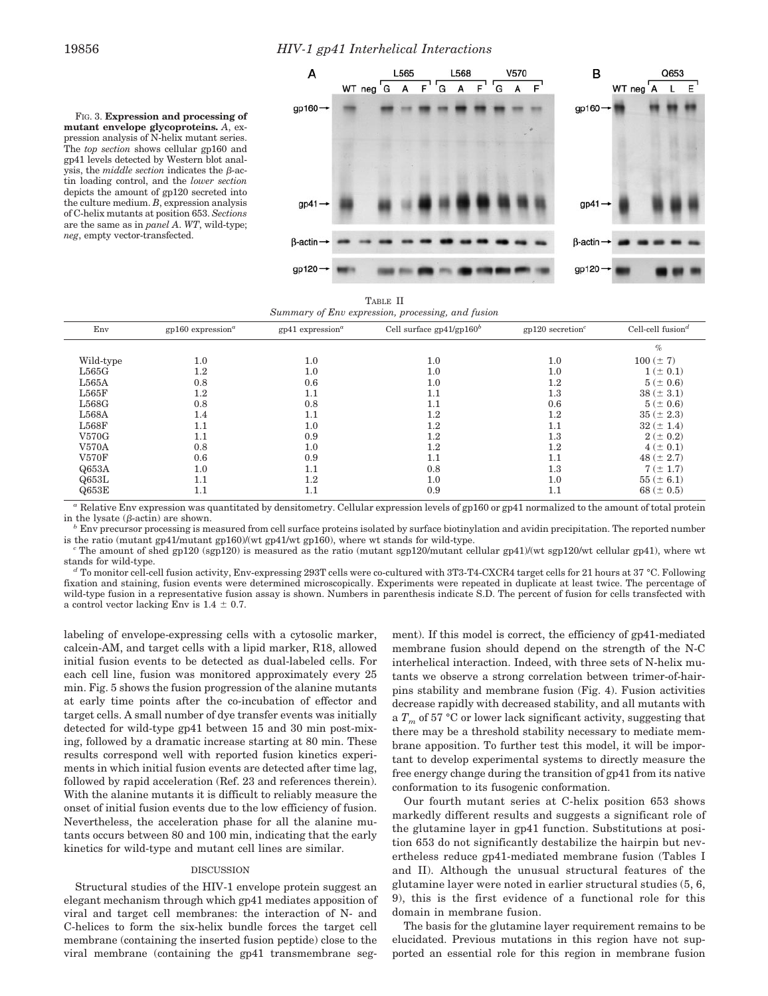## 19856 *HIV-1 gp41 Interhelical Interactions*

FIG. 3. **Expression and processing of mutant envelope glycoproteins.** *A*, expression analysis of N-helix mutant series. The *top section* shows cellular gp160 and gp41 levels detected by Western blot analysis, the *middle section* indicates the *B*-actin loading control, and the *lower section* depicts the amount of gp120 secreted into the culture medium. *B*, expression analysis of C-helix mutants at position 653. *Sections* are the same as in *panel A*. *WT*, wild-type; *neg*, empty vector-transfected.



TABLE II *Summary of Env expression, processing, and fusion*

| .            |                                 |                                |                             |                                |                               |  |  |  |
|--------------|---------------------------------|--------------------------------|-----------------------------|--------------------------------|-------------------------------|--|--|--|
| Env          | $gp160$ expression <sup>a</sup> | $gp41$ expression <sup>a</sup> | Cell surface $gp41/gp160^b$ | $gp120$ secretion <sup>c</sup> | Cell-cell fusion <sup>d</sup> |  |  |  |
|              |                                 |                                |                             |                                | $\%$                          |  |  |  |
| Wild-type    | 1.0                             | 1.0                            | $1.0\,$                     | 1.0                            | $100 (\pm 7)$                 |  |  |  |
| L565G        | $1.2\,$                         | 1.0                            | 1.0                         | 1.0                            | $1 (\pm 0.1)$                 |  |  |  |
| L565A        | 0.8                             | 0.6                            | $1.0\,$                     | 1.2                            | $5 (\pm 0.6)$                 |  |  |  |
| L565F        | $1.2\,$                         | 1.1                            | 1.1                         | 1.3                            | $38 (\pm 3.1)$                |  |  |  |
| L568G        | 0.8                             | 0.8                            | $1.1\,$                     | 0.6                            | $5 (\pm 0.6)$                 |  |  |  |
| L568A        | 1.4                             | 1.1                            | $1.2\,$                     | 1.2                            | $35 (\pm 2.3)$                |  |  |  |
| L568F        | 1.1                             | 1.0                            | $1.2\,$                     | 1.1                            | $32 (\pm 1.4)$                |  |  |  |
| V570G        | 1.1                             | 0.9                            | $1.2\,$                     | 1.3                            | $2 (\pm 0.2)$                 |  |  |  |
| <b>V570A</b> | 0.8                             | 1.0                            | $1.2\,$                     | $1.2\,$                        | $4 (\pm 0.1)$                 |  |  |  |
| <b>V570F</b> | 0.6                             | 0.9                            | 1.1                         | 1.1                            | $48 (\pm 2.7)$                |  |  |  |
| Q653A        | 1.0                             | 1.1                            | 0.8                         | $1.3\,$                        | $7(\pm 1.7)$                  |  |  |  |
| Q653L        | 1.1                             | $1.2\,$                        | 1.0                         | 1.0                            | $55 (\pm 6.1)$                |  |  |  |
| Q653E        | $1.1\,$                         | 1.1                            | 0.9                         | $1.1\,$                        | 68 ( $\pm$ 0.5)               |  |  |  |
|              |                                 |                                |                             |                                |                               |  |  |  |

*<sup>a</sup>* Relative Env expression was quantitated by densitometry. Cellular expression levels of gp160 or gp41 normalized to the amount of total protein in the lysate ( $\beta$ -actin) are shown.<br><sup>*b*</sup> Env precursor processing is measured from cell surface proteins isolated by surface biotinylation and avidin precipitation. The reported number

is the ratio (mutant gp41/mutant gp160)/(wt gp41/wt gp160), where wt stands for wild-type.<br>
"The amount of shed gp120 (sgp120) is measured as the ratio (mutant sgp120/mutant cellular gp41)/(wt sgp120/wt cellular gp41), wh

stands for wild-type.<br><sup>*d*</sup> To monitor cell-cell fusion activity, Env-expressing 293T cells were co-cultured with 3T3-T4-CXCR4 target cells for 21 hours at 37 °C. Following

fixation and staining, fusion events were determined microscopically. Experiments were repeated in duplicate at least twice. The percentage of wild-type fusion in a representative fusion assay is shown. Numbers in parenthesis indicate S.D. The percent of fusion for cells transfected with a control vector lacking Env is  $1.4 \pm 0.7$ .

labeling of envelope-expressing cells with a cytosolic marker, calcein-AM, and target cells with a lipid marker, R18, allowed initial fusion events to be detected as dual-labeled cells. For each cell line, fusion was monitored approximately every 25 min. Fig. 5 shows the fusion progression of the alanine mutants at early time points after the co-incubation of effector and target cells. A small number of dye transfer events was initially detected for wild-type gp41 between 15 and 30 min post-mixing, followed by a dramatic increase starting at 80 min. These results correspond well with reported fusion kinetics experiments in which initial fusion events are detected after time lag, followed by rapid acceleration (Ref. 23 and references therein). With the alanine mutants it is difficult to reliably measure the onset of initial fusion events due to the low efficiency of fusion. Nevertheless, the acceleration phase for all the alanine mutants occurs between 80 and 100 min, indicating that the early kinetics for wild-type and mutant cell lines are similar.

## DISCUSSION

Structural studies of the HIV-1 envelope protein suggest an elegant mechanism through which gp41 mediates apposition of viral and target cell membranes: the interaction of N- and C-helices to form the six-helix bundle forces the target cell membrane (containing the inserted fusion peptide) close to the viral membrane (containing the gp41 transmembrane segment). If this model is correct, the efficiency of gp41-mediated membrane fusion should depend on the strength of the N-C interhelical interaction. Indeed, with three sets of N-helix mutants we observe a strong correlation between trimer-of-hairpins stability and membrane fusion (Fig. 4). Fusion activities decrease rapidly with decreased stability, and all mutants with a  $T_m$  of 57 °C or lower lack significant activity, suggesting that there may be a threshold stability necessary to mediate membrane apposition. To further test this model, it will be important to develop experimental systems to directly measure the free energy change during the transition of gp41 from its native conformation to its fusogenic conformation.

Our fourth mutant series at C-helix position 653 shows markedly different results and suggests a significant role of the glutamine layer in gp41 function. Substitutions at position 653 do not significantly destabilize the hairpin but nevertheless reduce gp41-mediated membrane fusion (Tables I and II). Although the unusual structural features of the glutamine layer were noted in earlier structural studies (5, 6, 9), this is the first evidence of a functional role for this domain in membrane fusion.

The basis for the glutamine layer requirement remains to be elucidated. Previous mutations in this region have not supported an essential role for this region in membrane fusion